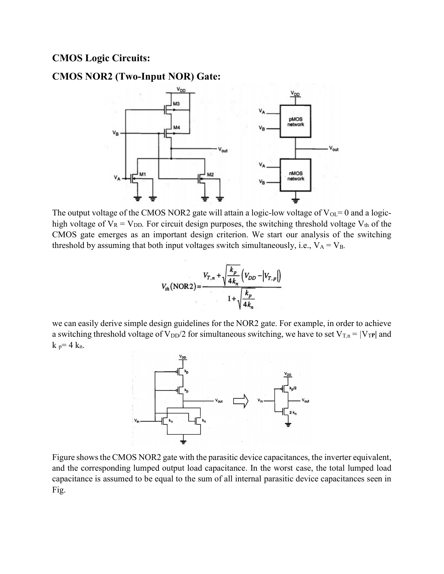## CMOS Logic Circuits:

## CMOS NOR2 (Two-Input NOR) Gate:



The output voltage of the CMOS NOR2 gate will attain a logic-low voltage of  $V_{OL} = 0$  and a logichigh voltage of  $V_R = V_{DD}$ . For circuit design purposes, the switching threshold voltage  $V_{th}$  of the CMOS gate emerges as an important design criterion. We start our analysis of the switching threshold by assuming that both input voltages switch simultaneously, i.e.,  $V_A = V_B$ .

$$
V_{th}(\text{NOR2}) = \frac{V_{T,n} + \sqrt{\frac{k_p}{4k_n}} \left(V_{DD} - \left|V_{T,p}\right|\right)}{1 + \sqrt{\frac{k_p}{4k_n}}}
$$

we can easily derive simple design guidelines for the NOR2 gate. For example, in order to achieve a switching threshold voltage of  $V_{DD}/2$  for simultaneous switching, we have to set  $V_{T,n} = |V_{TP}|$  and  $k_p = 4 k_n$ .



Figure shows the CMOS NOR2 gate with the parasitic device capacitances, the inverter equivalent, and the corresponding lumped output load capacitance. In the worst case, the total lumped load capacitance is assumed to be equal to the sum of all internal parasitic device capacitances seen in Fig.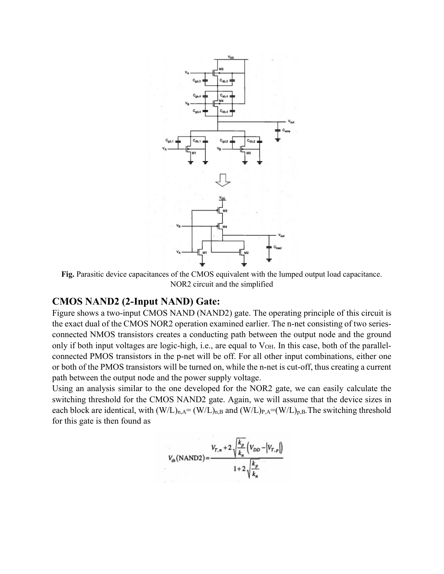

Fig. Parasitic device capacitances of the CMOS equivalent with the lumped output load capacitance. NOR2 circuit and the simplified

## CMOS NAND2 (2-Input NAND) Gate:

Figure shows a two-input CMOS NAND (NAND2) gate. The operating principle of this circuit is the exact dual of the CMOS NOR2 operation examined earlier. The n-net consisting of two seriesconnected NMOS transistors creates a conducting path between the output node and the ground only if both input voltages are logic-high, i.e., are equal to  $V_{OH}$ . In this case, both of the parallelconnected PMOS transistors in the p-net will be off. For all other input combinations, either one or both of the PMOS transistors will be turned on, while the n-net is cut-off, thus creating a current path between the output node and the power supply voltage.

Using an analysis similar to the one developed for the NOR2 gate, we can easily calculate the switching threshold for the CMOS NAND2 gate. Again, we will assume that the device sizes in each block are identical, with  $(W/L)_{n,A}=(W/L)_{n,B}$  and  $(W/L)_{P,A}=(W/L)_{p,B}$ . The switching threshold for this gate is then found as

$$
V_{th}(\text{NAND2}) = \frac{V_{T,n} + 2\sqrt{\frac{k_p}{k_n}}\left(V_{DD} - \left|V_{T,p}\right|\right)}{1 + 2\sqrt{\frac{k_p}{k_n}}}
$$